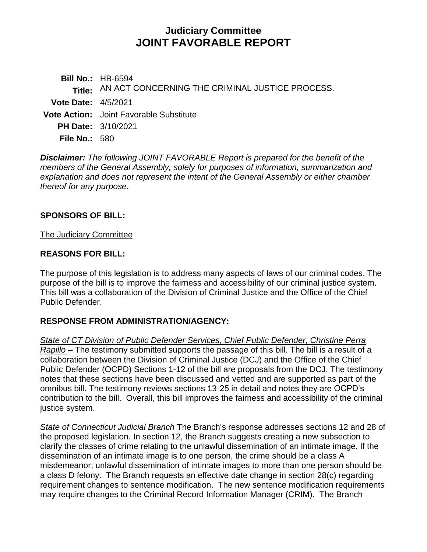# **Judiciary Committee JOINT FAVORABLE REPORT**

**Bill No.:** HB-6594 **Title:** AN ACT CONCERNING THE CRIMINAL JUSTICE PROCESS. **Vote Date:** 4/5/2021 **Vote Action:** Joint Favorable Substitute **PH Date:** 3/10/2021 **File No.:** 580

*Disclaimer: The following JOINT FAVORABLE Report is prepared for the benefit of the members of the General Assembly, solely for purposes of information, summarization and explanation and does not represent the intent of the General Assembly or either chamber thereof for any purpose.*

### **SPONSORS OF BILL:**

#### The Judiciary Committee

#### **REASONS FOR BILL:**

The purpose of this legislation is to address many aspects of laws of our criminal codes. The purpose of the bill is to improve the fairness and accessibility of our criminal justice system. This bill was a collaboration of the Division of Criminal Justice and the Office of the Chief Public Defender.

#### **RESPONSE FROM ADMINISTRATION/AGENCY:**

*State of CT Division of Public Defender Services, Chief Public Defender, Christine Perra Rapillo* – The testimony submitted supports the passage of this bill. The bill is a result of a collaboration between the Division of Criminal Justice (DCJ) and the Office of the Chief Public Defender (OCPD) Sections 1-12 of the bill are proposals from the DCJ. The testimony notes that these sections have been discussed and vetted and are supported as part of the omnibus bill. The testimony reviews sections 13-25 in detail and notes they are OCPD's contribution to the bill. Overall, this bill improves the fairness and accessibility of the criminal justice system.

*State of Connecticut Judicial Branch* The Branch's response addresses sections 12 and 28 of the proposed legislation. In section 12, the Branch suggests creating a new subsection to clarify the classes of crime relating to the unlawful dissemination of an intimate image. If the dissemination of an intimate image is to one person, the crime should be a class A misdemeanor; unlawful dissemination of intimate images to more than one person should be a class D felony. The Branch requests an effective date change in section 28(c) regarding requirement changes to sentence modification. The new sentence modification requirements may require changes to the Criminal Record Information Manager (CRIM). The Branch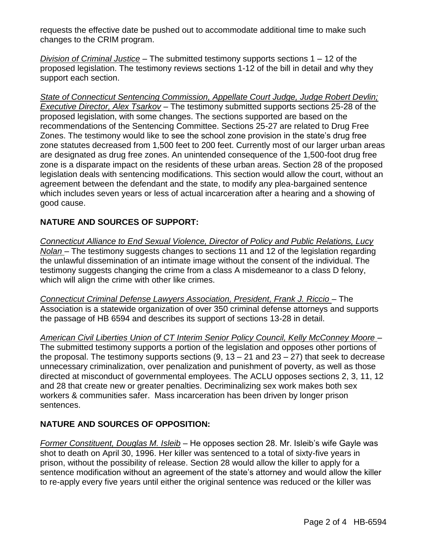requests the effective date be pushed out to accommodate additional time to make such changes to the CRIM program.

*Division of Criminal Justice* – The submitted testimony supports sections 1 – 12 of the proposed legislation. The testimony reviews sections 1-12 of the bill in detail and why they support each section.

*State of Connecticut Sentencing Commission, Appellate Court Judge, Judge Robert Devlin; Executive Director, Alex Tsarkov* – The testimony submitted supports sections 25-28 of the proposed legislation, with some changes. The sections supported are based on the recommendations of the Sentencing Committee. Sections 25-27 are related to Drug Free Zones. The testimony would like to see the school zone provision in the state's drug free zone statutes decreased from 1,500 feet to 200 feet. Currently most of our larger urban areas are designated as drug free zones. An unintended consequence of the 1,500-foot drug free zone is a disparate impact on the residents of these urban areas. Section 28 of the proposed legislation deals with sentencing modifications. This section would allow the court, without an agreement between the defendant and the state, to modify any plea-bargained sentence which includes seven years or less of actual incarceration after a hearing and a showing of good cause.

## **NATURE AND SOURCES OF SUPPORT:**

*Connecticut Alliance to End Sexual Violence, Director of Policy and Public Relations, Lucy Nolan* – The testimony suggests changes to sections 11 and 12 of the legislation regarding the unlawful dissemination of an intimate image without the consent of the individual. The testimony suggests changing the crime from a class A misdemeanor to a class D felony, which will align the crime with other like crimes.

*Connecticut Criminal Defense Lawyers Association, President, Frank J. Riccio – The* Association is a statewide organization of over 350 criminal defense attorneys and supports the passage of HB 6594 and describes its support of sections 13-28 in detail.

*American Civil Liberties Union of CT Interim Senior Policy Council, Kelly McConney Moore* – The submitted testimony supports a portion of the legislation and opposes other portions of the proposal. The testimony supports sections  $(9, 13 - 21)$  and  $(23 - 27)$  that seek to decrease unnecessary criminalization, over penalization and punishment of poverty, as well as those directed at misconduct of governmental employees. The ACLU opposes sections 2, 3, 11, 12 and 28 that create new or greater penalties. Decriminalizing sex work makes both sex workers & communities safer. Mass incarceration has been driven by longer prison sentences.

## **NATURE AND SOURCES OF OPPOSITION:**

*Former Constituent, Douglas M. Isleib* – He opposes section 28. Mr. Isleib's wife Gayle was shot to death on April 30, 1996. Her killer was sentenced to a total of sixty-five years in prison, without the possibility of release. Section 28 would allow the killer to apply for a sentence modification without an agreement of the state's attorney and would allow the killer to re-apply every five years until either the original sentence was reduced or the killer was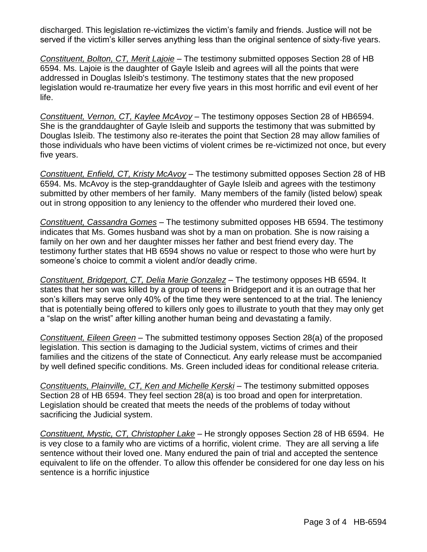discharged. This legislation re-victimizes the victim's family and friends. Justice will not be served if the victim's killer serves anything less than the original sentence of sixty-five years.

*Constituent, Bolton, CT, Merit Lajoie* – The testimony submitted opposes Section 28 of HB 6594. Ms. Lajoie is the daughter of Gayle Isleib and agrees will all the points that were addressed in Douglas Isleib's testimony. The testimony states that the new proposed legislation would re-traumatize her every five years in this most horrific and evil event of her life.

*Constituent, Vernon, CT, Kaylee McAvoy* – The testimony opposes Section 28 of HB6594. She is the granddaughter of Gayle Isleib and supports the testimony that was submitted by Douglas Isleib. The testimony also re-iterates the point that Section 28 may allow families of those individuals who have been victims of violent crimes be re-victimized not once, but every five years.

*Constituent, Enfield, CT, Kristy McAvoy* – The testimony submitted opposes Section 28 of HB 6594. Ms. McAvoy is the step-granddaughter of Gayle Isleib and agrees with the testimony submitted by other members of her family. Many members of the family (listed below) speak out in strong opposition to any leniency to the offender who murdered their loved one.

*Constituent, Cassandra Gomes* – The testimony submitted opposes HB 6594. The testimony indicates that Ms. Gomes husband was shot by a man on probation. She is now raising a family on her own and her daughter misses her father and best friend every day. The testimony further states that HB 6594 shows no value or respect to those who were hurt by someone's choice to commit a violent and/or deadly crime.

*Constituent, Bridgeport, CT, Delia Marie Gonzalez* – The testimony opposes HB 6594. It states that her son was killed by a group of teens in Bridgeport and it is an outrage that her son's killers may serve only 40% of the time they were sentenced to at the trial. The leniency that is potentially being offered to killers only goes to illustrate to youth that they may only get a "slap on the wrist" after killing another human being and devastating a family.

*Constituent, Eileen Green* – The submitted testimony opposes Section 28(a) of the proposed legislation. This section is damaging to the Judicial system, victims of crimes and their families and the citizens of the state of Connecticut. Any early release must be accompanied by well defined specific conditions. Ms. Green included ideas for conditional release criteria.

*Constituents, Plainville, CT, Ken and Michelle Kerski* – The testimony submitted opposes Section 28 of HB 6594. They feel section 28(a) is too broad and open for interpretation. Legislation should be created that meets the needs of the problems of today without sacrificing the Judicial system.

*Constituent, Mystic, CT, Christopher Lake* – He strongly opposes Section 28 of HB 6594. He is vey close to a family who are victims of a horrific, violent crime. They are all serving a life sentence without their loved one. Many endured the pain of trial and accepted the sentence equivalent to life on the offender. To allow this offender be considered for one day less on his sentence is a horrific injustice